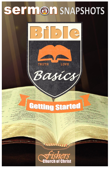# Sermon SNAPSHOTS



LOVE

**TRUTH** 

# **Getting started**

Basics

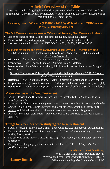### **A Brief Overview of the Bible**

Does the thought of digging into the Bible seem overwhelming to you? Well, don't be intimidated; it's not really that complicated! Would you like to take a brief guided tour of this grand book? Then read on!

#### **40 writers, over 1600 years (1500BC - 100AD), 66 books, and ZERO errors! (Why? 2 Timothy 3:16-17)**

#### **The Old Testament was written in** *Hebrew* **and** *Aramaic;* **New Testament in** *Greek*

- Hence, the need for translations into other languages, including English
- There are NO inspired translations each one has its merits and its faults
- Most recommended translations: KJV, NKJV, ASV, NASV, ESV, or HCSB

#### **Two** *major* **divisions; and three** *subdivisions* **(2 Timothy 2:15, "rightly dividing")** *The Old Testament* -- 39 books, with a **Jewish** focus (Genesis 12:1-3; Galatians 3:16) *- - it is the NT concealed*

- **Historical** -- first 17 books (5 law, 12 history), Genesis Esther
- **Prophetical** -- last 17 books (5 major, 12 minor), Isaiah Malachi
- **Devotional** -- middle 5 books (wisdom), Job, Psalm, Proverbs, Ecclesiastes, Song of Solomon

*The New Testament* -- 27 books, with a **worldwide** focus (Matthew 28:18-20) *-- it is the Old Testament revealed*

- **Historical** -- first 5 books (Matthew Acts) a history of Christ and the early church
- **Prophetical** last (Revelation) vision of "things which must shortly take place" (1:1)
- **Devotional** -- middle 21 books (Romans- Jude): doctrinal problems & Christian duties

#### **Major themes of the New Testament**

- Christ -- Jewish hope (Matthew to Jews, Mark to Greeks, Luke to Gentiles, John is more "spiritual")
- Salvation Deliverance from sin (Acts: book of conversions  $\&$  a history of the church)
- Church -- God's people (both universal and local; its work, worship, organization)
- Service -- Spiritual, moral, civil, domestic, economic, and social obligations
- Old/New Testament distinction Two entire books are dedicated to this: Galatians & Hebrews

#### **Things to remember when studying the New Testament**

- You are "reading someone else's mail," thus you must take into account certain things...
- The context and background (see Galatians 5:2) *– it wasn't circumcision per se, but binding it religiously*
- The customs of the times (1 Timothy 5:9-10) *– foot washing was an ancient custom of hospitality*
- The idioms of language (notice: "not/but" in John 6:27; 1 Peter 3:3-4) *– the "but" qualifies the "not"*

**In conclusion, the Bible tells us...**

 Who we are: God's image (Genesis 1:26-27) Why we are here: God's servant (Ecclesiastes 12:13-14)

**-Lanny Smith** Where we are going: God's home (John 14:1-3)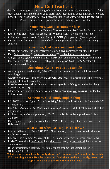## **How God Teaches Us**

The Christian religion is a teaching religion (Matthew 28:19-20; 2 Timothy 2:2). If that is true, then it is incumbent upon us to learn "how" teaching is done! This has a two-fold benefit. First, *I will know how God teaches;* then, *I will know how to pass that on to others!* Therefore, let's ponder how the teaching process works.

#### **Sometimes, God just states the facts**

- Like "Sergeant Joe Friday" on "Dragnet," we sometimes give "Just the facts, ma'am"
- **Ex:** "Sky is blue," "Grass is green," or "Water is wet," "I went to town," etc.
- *In the same way we would teach other folk, GOD often gives us "just the facts"*
- **Ex:** creation (Genesis 1:1); man in God's image (Genesis 1:26-27); God is love (1 John 4:8)

#### **Sometimes, God gives commandments**

- Whether at home, work, or wherever, we often give commands for others to obey
- **Ex:** "Shut that door," "Clean up your mess," "Get back to work right now," etc.
- *And just as we often command others, GOD often commands us to do certain things*
- **Ex:** "seek first" (Matthew 6:33); "Repent… and pray" (Acts 8:22); "abstain" (1 Thessalonians 4:1-3)

#### **Sometimes, God shows us by example**

- An example can send a vivid, "visual" lesson; a "demonstration" which we won't soon forget!
- *Negative examples* things we *should NOT do:* incest (1 Corinthians 5:1); frivolous lawsuits (1 Corinthians 6:1-2)
- *Positive examples* show things that are *acceptable to DO:* give on the first day (1 Corinthians 16:1-2)
- Otherwise, we must find "authorization." *Thus, examples can restrict!* (limited by lack of info)

#### **Sometimes, God simply implies things**

- I do NOT refer to a "guess" or a "surmising", but an implication that is "unavoidable" or "necessary"
- **Ex:** *"Any idiot knows the Bible teaches by implication"* (I didn't call him an idiot; but implied it!)
- I submit that, *without implication,* NONE of the Bible can be applied to us! (Acts 2:38-39)
- **Ex:** a "place" to baptize or assemble is IMPLIED in passages like these: Acts 8:36 & Hebrews 10:25

#### **What about when God says NOTHING?**

- In truth "silence" is "the ABSENCE of information;" thus, it does not tell, show, or imply ANYTHING!
- **Ex:** ordering a hamburger says NOTHING about my desire for other menu items
- It MAY mean that I don't want them, don't like them, or can't afford them we just do not know!
- If the information is lacking, we simply cannot assume that something is  $OK$ (Hebrews 7:11-14)

**What we have done here is simply show the "common sense" principles by which ALL teaching is done. Now let us use our God-given intellect to study, learn, and apply the words of the Bible to our own lives!**